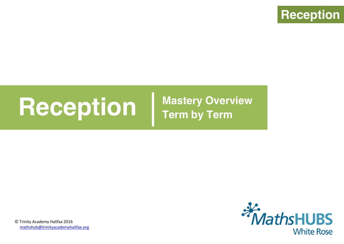

# **Reception Mastery Overview**

**Term by Term**



© Trinity Academy Halifax 2016 mathshub@trinityacademyhalifax.org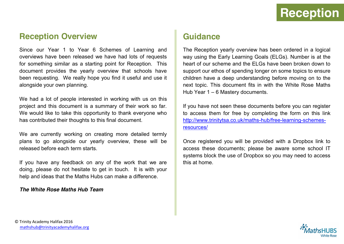#### **Reception Overview**

Since our Year 1 to Year 6 Schemes of Learning and overviews have been released we have had lots of requests for something similar as a starting point for Reception. This document provides the yearly overview that schools have been requesting. We really hope you find it useful and use it alongside your own planning.

We had a lot of people interested in working with us on this project and this document is a summary of their work so far. We would like to take this opportunity to thank everyone who has contributed their thoughts to this final document.

We are currently working on creating more detailed termly plans to go alongside our yearly overview, these will be released before each term starts.

If you have any feedback on any of the work that we are doing, please do not hesitate to get in touch. It is with your help and ideas that the Maths Hubs can make a difference.

#### *The White Rose Maths Hub Team*

#### **Guidance**

The Reception yearly overview has been ordered in a logical way using the Early Learning Goals (ELGs). Number is at the heart of our scheme and the ELGs have been broken down to support our ethos of spending longer on some topics to ensure children have a deep understanding before moving on to the next topic. This document fits in with the White Rose Maths Hub Year 1 – 6 Mastery documents.

If you have not seen these documents before you can register to access them for free by completing the form on this link [http://www.trinitytsa.co.uk/maths-hub/free-learning-schemes](http://www.trinitytsa.co.uk/maths-hub/free-learning-schemes-resources/)[resources/](http://www.trinitytsa.co.uk/maths-hub/free-learning-schemes-resources/)

Once registered you will be provided with a Dropbox link to access these documents; please be aware some school IT systems block the use of Dropbox so you may need to access this at home.

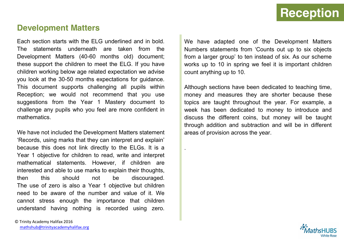### **Reception**

#### **Development Matters**

Each section starts with the ELG underlined and in bold. The statements underneath are taken from the Development Matters (40-60 months old) document; these support the children to meet the ELG. If you have children working below age related expectation we advise you look at the 30-50 months expectations for guidance. This document supports challenging all pupils within Reception; we would not recommend that you use suggestions from the Year 1 Mastery document to challenge any pupils who you feel are more confident in mathematics.

We have not included the Development Matters statement 'Records, using marks that they can interpret and explain' because this does not link directly to the ELGs. It is a Year 1 objective for children to read, write and interpret mathematical statements. However, if children are interested and able to use marks to explain their thoughts, then this should not be discouraged. The use of zero is also a Year 1 objective but children need to be aware of the number and value of it. We cannot stress enough the importance that children understand having nothing is recorded using zero. We have adapted one of the Development Matters Numbers statements from 'Counts out up to six objects from a larger group' to ten instead of six. As our scheme works up to 10 in spring we feel it is important children count anything up to 10.

Although sections have been dedicated to teaching time, money and measures they are shorter because these topics are taught throughout the year. For example, a week has been dedicated to money to introduce and discuss the different coins, but money will be taught through addition and subtraction and will be in different areas of provision across the year.

.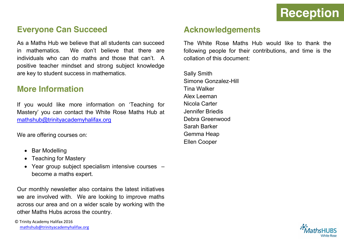#### **Everyone Can Succeed**

As a Maths Hub we believe that all students can succeed in mathematics. We don't believe that there are individuals who can do maths and those that can't. A positive teacher mindset and strong subject knowledge are key to student success in mathematics.

#### **More Information**

If you would like more information on 'Teaching for Mastery' you can contact the White Rose Maths Hub at [mathshub@trinityacademyhalifax.org](mailto:mathshub@trinityacademyhalifax.org)

We are offering courses on:

- Bar Modelling
- Teaching for Mastery
- $\bullet$  Year group subject specialism intensive courses  $$ become a maths expert.

Our monthly newsletter also contains the latest initiatives we are involved with. We are looking to improve maths across our area and on a wider scale by working with the other Maths Hubs across the country.

#### **Acknowledgements**

The White Rose Maths Hub would like to thank the following people for their contributions, and time is the collation of this document:

Sally Smith Simone Gonzalez-Hill Tina Walker Alex Leeman Nicola Carter Jennifer Briedis Debra Greenwood Sarah Barker Gemma Heap Ellen Cooper

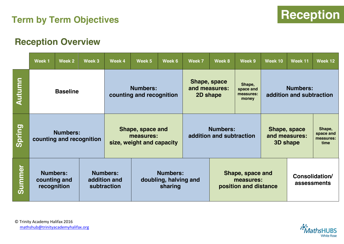### **Reception Term by Term Objectives**

#### **Reception Overview**

|               | Week 1                                                                                           | Week 2 | Week 3 | Week 4                                                     | Week 5                                                                                   | Week 6                                      | Week 7                                                 | Week 8 | Week 9                                           | Week 10     | Week 11                                     | Week 12 |
|---------------|--------------------------------------------------------------------------------------------------|--------|--------|------------------------------------------------------------|------------------------------------------------------------------------------------------|---------------------------------------------|--------------------------------------------------------|--------|--------------------------------------------------|-------------|---------------------------------------------|---------|
| <b>Autumn</b> | <b>Baseline</b>                                                                                  |        |        |                                                            | Shape, space<br><b>Numbers:</b><br>and measures:<br>counting and recognition<br>2D shape |                                             |                                                        |        | Shape,<br>space and<br>measures:<br>money        |             | <b>Numbers:</b><br>addition and subtraction |         |
| Spring        | <b>Numbers:</b><br>counting and recognition                                                      |        |        | Shape, space and<br>measures:<br>size, weight and capacity |                                                                                          | <b>Numbers:</b><br>addition and subtraction |                                                        |        | Shape, space<br>and measures:<br><b>3D shape</b> |             | Shape,<br>space and<br>measures:<br>time    |         |
| <b>Summer</b> | <b>Numbers:</b><br><b>Numbers:</b><br>counting and<br>addition and<br>recognition<br>subtraction |        |        | <b>Numbers:</b><br>doubling, halving and<br>sharing        |                                                                                          |                                             | Shape, space and<br>measures:<br>position and distance |        | Consolidation/                                   | assessments |                                             |         |

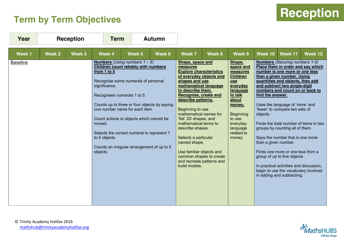## **Term by Term Objectives**



| Year            |                   | <b>Reception</b> | <b>Term</b><br><b>Autumn</b>                                                                                                                                                                                                                                                                                                                                                                                                                                  |        |        |                                                                                                                                                                                                                                                                                                                                                                                                                                                                           |        |                                                                                                                                                                                                      |                                                      |                                                                                                                                                                                                                                                                                                                                                                                                                                                                                                                                                 |                                                                             |
|-----------------|-------------------|------------------|---------------------------------------------------------------------------------------------------------------------------------------------------------------------------------------------------------------------------------------------------------------------------------------------------------------------------------------------------------------------------------------------------------------------------------------------------------------|--------|--------|---------------------------------------------------------------------------------------------------------------------------------------------------------------------------------------------------------------------------------------------------------------------------------------------------------------------------------------------------------------------------------------------------------------------------------------------------------------------------|--------|------------------------------------------------------------------------------------------------------------------------------------------------------------------------------------------------------|------------------------------------------------------|-------------------------------------------------------------------------------------------------------------------------------------------------------------------------------------------------------------------------------------------------------------------------------------------------------------------------------------------------------------------------------------------------------------------------------------------------------------------------------------------------------------------------------------------------|-----------------------------------------------------------------------------|
| Week 1          | Week <sub>2</sub> | Week 3           | Week 4                                                                                                                                                                                                                                                                                                                                                                                                                                                        | Week 5 | Week 6 | <b>Week 7</b>                                                                                                                                                                                                                                                                                                                                                                                                                                                             | Week 8 | Week 9                                                                                                                                                                                               | <b>Week 10</b>                                       | Week 11                                                                                                                                                                                                                                                                                                                                                                                                                                                                                                                                         | Week 12                                                                     |
| <b>Baseline</b> |                   |                  | <b>Numbers</b> (Using numbers $1 - 5$ )<br><b>Children count reliably with numbers</b><br>from 1 to 5<br>Recognise some numerals of personal<br>significance.<br>Recognises numerals 1 to 5.<br>Counts up to three or four objects by saying<br>one number name for each item.<br>Count actions or objects which cannot be<br>moved.<br>Selects the correct numeral to represent 1<br>to 5 objects.<br>Counts an irregular arrangement of up to 5<br>objects. |        |        | Shape, space and<br>measures<br><b>Explore characteristics</b><br>of everyday objects and<br>shapes and use<br>mathematical language<br>to describe them.<br>Recognise, create and<br>describe patterns.<br>Beginning to use<br>mathematical names for<br>'flat' 2D shapes, and<br>mathematical terms to<br>describe shapes.<br>Selects a particular<br>named shape.<br>Use familiar objects and<br>common shapes to create<br>and recreate patterns and<br>build models. |        | Shape,<br>space and<br>measures<br><b>Children</b><br><b>use</b><br>everyday<br>language<br>to talk<br>about<br>money.<br><b>Beginning</b><br>to use<br>everyday<br>language<br>related to<br>money. | find the answer.<br>objects.<br>than a given number. | <b>Numbers</b> (Securing numbers 1-5)<br>number is one more or one less<br>than a given number. Using<br>quantities and objects, they add<br>and subtract two single-digit<br>numbers and count on or back to<br>Uses the language of 'more' and<br>'fewer' to compare two sets of<br>groups by counting all of them.<br>Says the number that is one more<br>Finds one more or one less from a<br>group of up to five objects.<br>In practical activities and discussion,<br>begin to use the vocabulary involved<br>in adding and subtracting. | Place them in order and say which<br>Finds the total number of items in two |

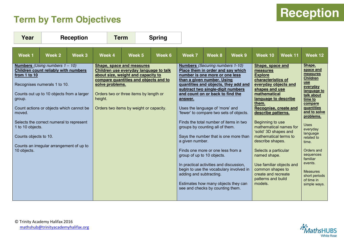### **Term by Term Objectives**

| <b>Reception</b> |  |
|------------------|--|
|                  |  |

| Year                                                                                                                                                                                                                                                                                                                                                                                    |        | <b>Reception</b> | <b>Term</b>                |                                                                                                                                                                                                                                         | <b>Spring</b> |                                                                                                                                                                                                                                                                                                                                                                                                                                                                                                                                                                                                                                   |        |                                                                                                                          |                                                                                                                                                                                                                                                                                                                                                                                                                                                                                    |         |                                                                                                                                                                                                                                                                                                                                                                     |
|-----------------------------------------------------------------------------------------------------------------------------------------------------------------------------------------------------------------------------------------------------------------------------------------------------------------------------------------------------------------------------------------|--------|------------------|----------------------------|-----------------------------------------------------------------------------------------------------------------------------------------------------------------------------------------------------------------------------------------|---------------|-----------------------------------------------------------------------------------------------------------------------------------------------------------------------------------------------------------------------------------------------------------------------------------------------------------------------------------------------------------------------------------------------------------------------------------------------------------------------------------------------------------------------------------------------------------------------------------------------------------------------------------|--------|--------------------------------------------------------------------------------------------------------------------------|------------------------------------------------------------------------------------------------------------------------------------------------------------------------------------------------------------------------------------------------------------------------------------------------------------------------------------------------------------------------------------------------------------------------------------------------------------------------------------|---------|---------------------------------------------------------------------------------------------------------------------------------------------------------------------------------------------------------------------------------------------------------------------------------------------------------------------------------------------------------------------|
| Week <sub>1</sub>                                                                                                                                                                                                                                                                                                                                                                       | Week 2 | Week 3           | Week 4                     | Week 5                                                                                                                                                                                                                                  | Week 6        | <b>Week 7</b>                                                                                                                                                                                                                                                                                                                                                                                                                                                                                                                                                                                                                     | Week 8 | Week 9                                                                                                                   | Week 10                                                                                                                                                                                                                                                                                                                                                                                                                                                                            | Week 11 | Week 12                                                                                                                                                                                                                                                                                                                                                             |
| Numbers (Using numbers 1 - 10)<br>Children count reliably with numbers<br>from 1 to 10<br>Recognises numerals 1 to 10.<br>Counts out up to 10 objects from a larger<br>group.<br>Count actions or objects which cannot be<br>moved.<br>Selects the correct numeral to represent<br>1 to 10 objects.<br>Counts objects to 10.<br>Counts an irregular arrangement of up to<br>10 objects. |        |                  | solve problems.<br>height. | Shape, space and measures<br>Children use everyday language to talk<br>about size, weight and capacity to<br>compare quantities and objects and to<br>Orders two or three items by length or<br>Orders two items by weight or capacity. |               | <b>Numbers</b> (Securing numbers 1-10)<br>Place them in order and say which<br>number is one more or one less<br>than a given number. Using<br>subtract two single-digit numbers<br>and count on or back to find the<br>answer.<br>Uses the language of 'more' and<br>'fewer' to compare two sets of objects.<br>Finds the total number of items in two<br>groups by counting all of them.<br>a given number.<br>Finds one more or one less from a<br>group of up to 10 objects.<br>In practical activities and discussion,<br>adding and subtracting.<br>Estimates how many objects they can<br>see and checks by counting them. |        | quantities and objects, they add and<br>Says the number that is one more than<br>begin to use the vocabulary involved in | Shape, space and<br>measures<br><b>Explore</b><br>characteristics of<br>everyday objects and<br>shapes and use<br>mathematical<br>language to describe<br>them.<br>Recognise, create and<br>describe patterns.<br>Beginning to use<br>mathematical names for<br>'solid' 3D shapes and<br>mathematical terms to<br>describe shapes.<br>Selects a particular<br>named shape.<br>Use familiar objects and<br>common shapes to<br>create and recreate<br>patterns and build<br>models. |         | Shape,<br>space and<br>measures<br><b>Children</b><br><b>use</b><br>everyday<br>language to<br>talk about<br>time to<br>compare<br><b>guantities</b><br>and to solve<br>problems.<br><b>Uses</b><br>everyday<br>language<br>related to<br>time.<br>Orders and<br>sequences<br>familiar<br>events.<br><b>Measures</b><br>short periods<br>of time in<br>simple ways. |